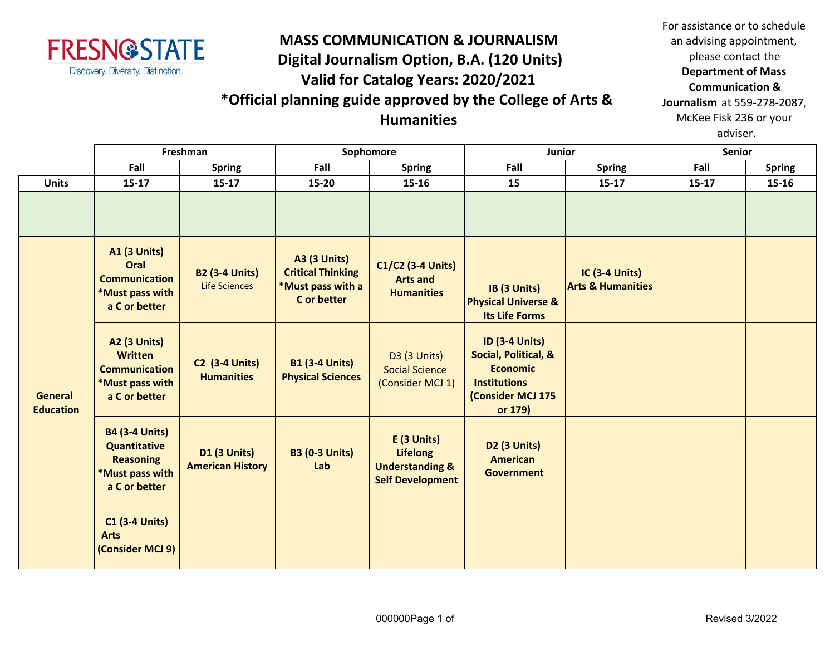

## **MASS COMMUNICATION & JOURNALISM Digital Journalism Option, B.A. (120 Units) Valid for Catalog Years: 2020/2021 \*Official planning guide approved by the College of Arts & Humanities**

For assistance or to schedule an advising appointment, please contact the **Department of Mass Communication & Journalism** at 559-278-2087, McKee Fisk 236 or your adviser.

|                             | Freshman                                                                                             |                                                | Sophomore                                                                           |                                                                                         | Junior                                                                                                                  |                                                       | <b>Senior</b> |               |
|-----------------------------|------------------------------------------------------------------------------------------------------|------------------------------------------------|-------------------------------------------------------------------------------------|-----------------------------------------------------------------------------------------|-------------------------------------------------------------------------------------------------------------------------|-------------------------------------------------------|---------------|---------------|
|                             | Fall                                                                                                 | <b>Spring</b>                                  | Fall                                                                                | <b>Spring</b>                                                                           | Fall                                                                                                                    | <b>Spring</b>                                         | Fall          | <b>Spring</b> |
| <b>Units</b>                | $15 - 17$                                                                                            | $15 - 17$                                      | 15-20                                                                               | $15 - 16$                                                                               | 15                                                                                                                      | $15-17$                                               | $15 - 17$     | 15-16         |
|                             |                                                                                                      |                                                |                                                                                     |                                                                                         |                                                                                                                         |                                                       |               |               |
| General<br><b>Education</b> | <b>A1 (3 Units)</b><br>Oral<br><b>Communication</b><br>*Must pass with<br>a C or better              | <b>B2 (3-4 Units)</b><br><b>Life Sciences</b>  | <b>A3 (3 Units)</b><br><b>Critical Thinking</b><br>*Must pass with a<br>C or better | C1/C2 (3-4 Units)<br><b>Arts and</b><br><b>Humanities</b>                               | IB (3 Units)<br><b>Physical Universe &amp;</b><br><b>Its Life Forms</b>                                                 | <b>IC (3-4 Units)</b><br><b>Arts &amp; Humanities</b> |               |               |
|                             | <b>A2 (3 Units)</b><br><b>Written</b><br><b>Communication</b><br>*Must pass with<br>a C or better    | <b>C2 (3-4 Units)</b><br><b>Humanities</b>     | <b>B1 (3-4 Units)</b><br><b>Physical Sciences</b>                                   | <b>D3 (3 Units)</b><br><b>Social Science</b><br>(Consider MCJ 1)                        | <b>ID (3-4 Units)</b><br>Social, Political, &<br><b>Economic</b><br><b>Institutions</b><br>(Consider MCJ 175<br>or 179) |                                                       |               |               |
|                             | <b>B4 (3-4 Units)</b><br><b>Quantitative</b><br><b>Reasoning</b><br>*Must pass with<br>a C or better | <b>D1 (3 Units)</b><br><b>American History</b> | <b>B3 (0-3 Units)</b><br>Lab                                                        | E (3 Units)<br><b>Lifelong</b><br><b>Understanding &amp;</b><br><b>Self Development</b> | D2 (3 Units)<br><b>American</b><br><b>Government</b>                                                                    |                                                       |               |               |
|                             | <b>C1 (3-4 Units)</b><br><b>Arts</b><br>(Consider MCJ 9)                                             |                                                |                                                                                     |                                                                                         |                                                                                                                         |                                                       |               |               |